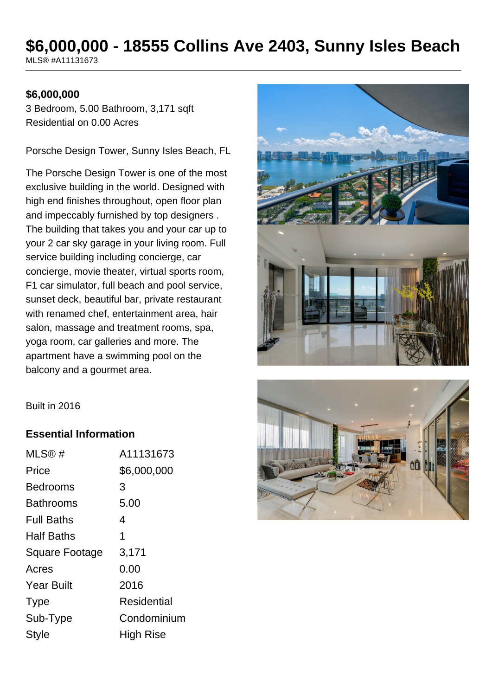# **\$6,000,000 - 18555 Collins Ave 2403, Sunny Isles Beach** MLS® #A11131673

#### **\$6,000,000**

3 Bedroom, 5.00 Bathroom, 3,171 sqft Residential on 0.00 Acres

Porsche Design Tower, Sunny Isles Beach, FL

The Porsche Design Tower is one of the most exclusive building in the world. Designed with high end finishes throughout, open floor plan and impeccably furnished by top designers . The building that takes you and your car up to your 2 car sky garage in your living room. Full service building including concierge, car concierge, movie theater, virtual sports room, F1 car simulator, full beach and pool service, sunset deck, beautiful bar, private restaurant with renamed chef, entertainment area, hair salon, massage and treatment rooms, spa, yoga room, car galleries and more. The apartment have a swimming pool on the balcony and a gourmet area.





#### **Essential Information**

| MLS@#                 | A11131673   |
|-----------------------|-------------|
| Price                 | \$6,000,000 |
| Bedrooms              | 3           |
| <b>Bathrooms</b>      | 5.00        |
| <b>Full Baths</b>     | 4           |
| <b>Half Baths</b>     | 1           |
| <b>Square Footage</b> | 3,171       |
| Acres                 | 0.00        |
| <b>Year Built</b>     | 2016        |
| <b>Type</b>           | Residential |
| Sub-Type              | Condominium |
| <b>Style</b>          | High Rise   |

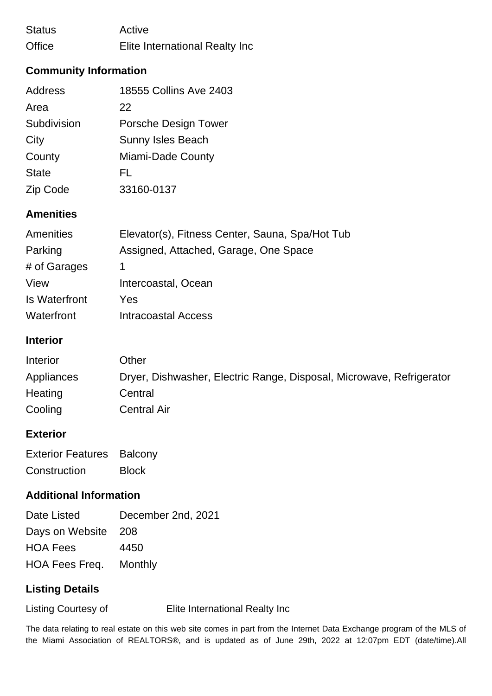| <b>Status</b> | Active                         |
|---------------|--------------------------------|
| Office        | Elite International Realty Inc |

# **Community Information**

| Address      | 18555 Collins Ave 2403      |
|--------------|-----------------------------|
| Area         | 22                          |
| Subdivision  | <b>Porsche Design Tower</b> |
| City         | <b>Sunny Isles Beach</b>    |
| County       | Miami-Dade County           |
| <b>State</b> | FI.                         |
| Zip Code     | 33160-0137                  |
|              |                             |

# **Amenities**

| Amenities     | Elevator(s), Fitness Center, Sauna, Spa/Hot Tub |
|---------------|-------------------------------------------------|
| Parking       | Assigned, Attached, Garage, One Space           |
| # of Garages  |                                                 |
| View          | Intercoastal, Ocean                             |
| Is Waterfront | Yes                                             |
| Waterfront    | Intracoastal Access                             |

#### **Interior**

| <b>Interior</b> | Other                                                                |
|-----------------|----------------------------------------------------------------------|
| Appliances      | Dryer, Dishwasher, Electric Range, Disposal, Microwave, Refrigerator |
| Heating         | Central                                                              |
| Cooling         | <b>Central Air</b>                                                   |

### **Exterior**

| <b>Exterior Features</b> | Balcony      |
|--------------------------|--------------|
| Construction             | <b>Block</b> |

### **Additional Information**

| Date Listed                   | December 2nd, 2021 |
|-------------------------------|--------------------|
| Days on Website 208           |                    |
| <b>HOA Fees</b>               | 4450               |
| <b>HOA Fees Freq. Monthly</b> |                    |

### **Listing Details**

Listing Courtesy of Elite International Realty Inc

The data relating to real estate on this web site comes in part from the Internet Data Exchange program of the MLS of the Miami Association of REALTORS®, and is updated as of June 29th, 2022 at 12:07pm EDT (date/time).All